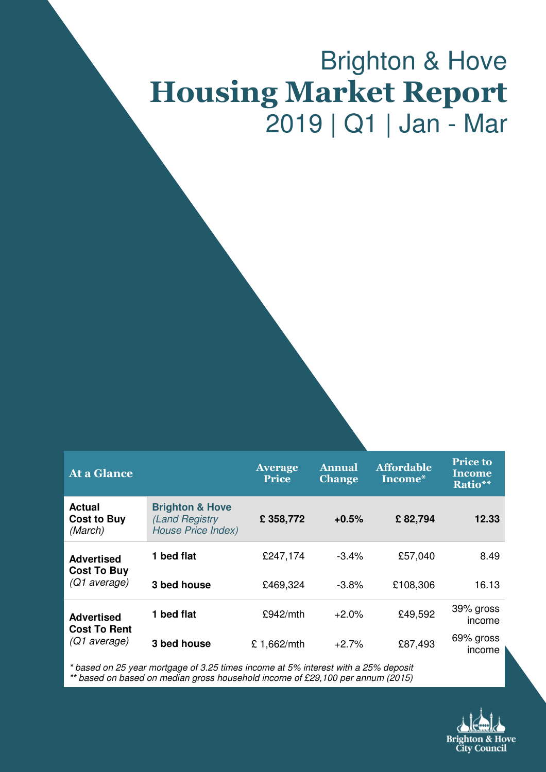# Brighton & Hove Housing Market Report 2019 | Q1 | Jan - Mar

| <b>At a Glance</b>                             |                                                                           | <b>Average</b><br><b>Price</b> | <b>Annual</b><br><b>Change</b> | <b>Affordable</b><br>Income* | <b>Price to</b><br>Income<br>Ratio** |
|------------------------------------------------|---------------------------------------------------------------------------|--------------------------------|--------------------------------|------------------------------|--------------------------------------|
| <b>Actual</b><br><b>Cost to Buy</b><br>(March) | <b>Brighton &amp; Hove</b><br>(Land Registry<br><b>House Price Index)</b> | £358,772                       | $+0.5%$                        | £82,794                      | 12.33                                |
| <b>Advertised</b><br><b>Cost To Buy</b>        | 1 bed flat                                                                | £247,174                       | $-3.4\%$                       | £57,040                      | 8.49                                 |
| (Q1 average)                                   | 3 bed house                                                               | £469,324                       | $-3.8%$                        | £108,306                     | 16.13                                |
| <b>Advertised</b>                              | 1 bed flat                                                                | £942/mth                       | $+2.0%$                        | £49,592                      | 39% gross<br>income                  |
| <b>Cost To Rent</b><br>(Q1 average)            | 3 bed house                                                               | £ 1,662/mth                    | $+2.7%$                        | £87,493                      | 69% gross<br>income                  |

\* based on 25 year mortgage of 3.25 times income at 5% interest with a 25% deposit \*\* based on based on median gross household income of £29,100 per annum (2015)

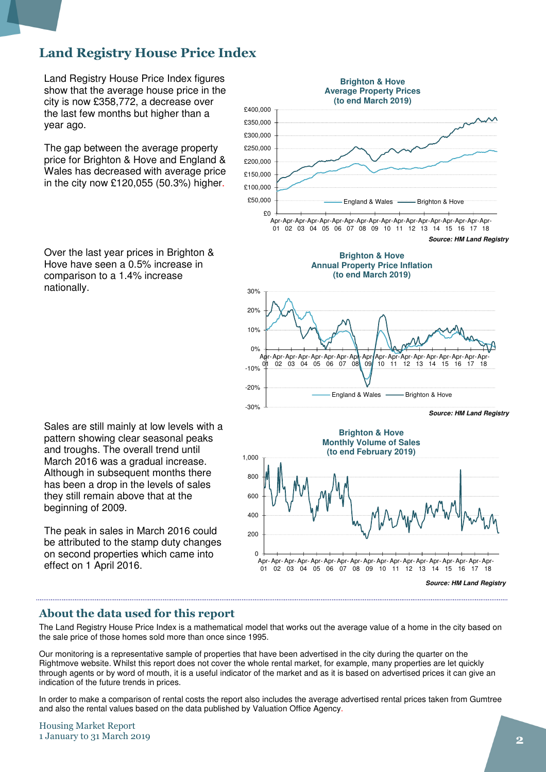### Land Registry House Price Index

Land Registry House Price Index figures show that the average house price in the city is now £358,772, a decrease over the last few months but higher than a year ago.

The gap between the average property price for Brighton & Hove and England & Wales has decreased with average price in the city now £120,055 (50.3%) higher.

Over the last year prices in Brighton & Hove have seen a 0.5% increase in comparison to a 1.4% increase nationally.

Sales are still mainly at low levels with a pattern showing clear seasonal peaks and troughs. The overall trend until March 2016 was a gradual increase. Although in subsequent months there has been a drop in the levels of sales they still remain above that at the beginning of 2009.

The peak in sales in March 2016 could be attributed to the stamp duty changes on second properties which came into effect on 1 April 2016.



#### About the data used for this report

The Land Registry House Price Index is a mathematical model that works out the average value of a home in the city based on the sale price of those homes sold more than once since 1995.

Our monitoring is a representative sample of properties that have been advertised in the city during the quarter on the Rightmove website. Whilst this report does not cover the whole rental market, for example, many properties are let quickly through agents or by word of mouth, it is a useful indicator of the market and as it is based on advertised prices it can give an indication of the future trends in prices.

In order to make a comparison of rental costs the report also includes the average advertised rental prices taken from Gumtree and also the rental values based on the data published by Valuation Office Agency.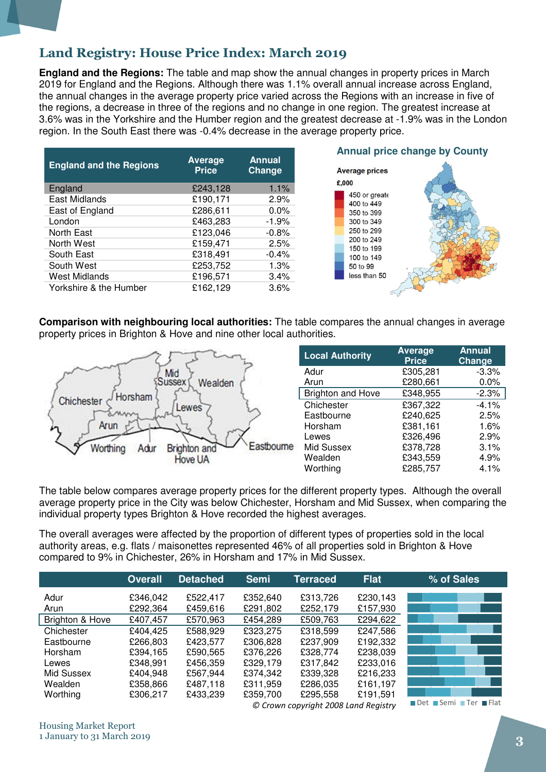### Land Registry: House Price Index: March 2019

**England and the Regions:** The table and map show the annual changes in property prices in March 2019 for England and the Regions. Although there was 1.1% overall annual increase across England, the annual changes in the average property price varied across the Regions with an increase in five of the regions, a decrease in three of the regions and no change in one region. The greatest increase at 3.6% was in the Yorkshire and the Humber region and the greatest decrease at -1.9% was in the London region. In the South East there was -0.4% decrease in the average property price.

| <b>England and the Regions</b> | <b>Average</b><br><b>Price</b> | <b>Annual</b><br>Change |
|--------------------------------|--------------------------------|-------------------------|
| England                        | £243,128                       | 1.1%                    |
| <b>East Midlands</b>           | £190,171                       | 2.9%                    |
| East of England                | £286,611                       | 0.0%                    |
| London                         | £463,283                       | $-1.9%$                 |
| North East                     | £123,046                       | $-0.8%$                 |
| North West                     | £159,471                       | 2.5%                    |
| South East                     | £318,491                       | $-0.4%$                 |
| South West                     | £253,752                       | 1.3%                    |
| <b>West Midlands</b>           | £196,571                       | 3.4%                    |
| Yorkshire & the Humber         | £162,129                       | 3.6%                    |



**Comparison with neighbouring local authorities:** The table compares the annual changes in average property prices in Brighton & Hove and nine other local authorities.



| <b>Local Authority</b> | <b>Average</b><br><b>Price</b> | <b>Annual</b><br>Change |
|------------------------|--------------------------------|-------------------------|
| Adur                   | £305,281                       | $-3.3%$                 |
| Arun                   | £280,661                       | $0.0\%$                 |
| Brighton and Hove      | £348,955                       | $-2.3%$                 |
| Chichester             | £367,322                       | $-4.1%$                 |
| Eastbourne             | £240,625                       | 2.5%                    |
| Horsham                | £381,161                       | 1.6%                    |
| Lewes                  | £326,496                       | 2.9%                    |
| Mid Sussex             | £378,728                       | 3.1%                    |
| Wealden                | £343,559                       | 4.9%                    |
| Worthing               | £285,757                       | 4.1%                    |

The table below compares average property prices for the different property types. Although the overall average property price in the City was below Chichester, Horsham and Mid Sussex, when comparing the individual property types Brighton & Hove recorded the highest averages.

The overall averages were affected by the proportion of different types of properties sold in the local authority areas, e.g. flats / maisonettes represented 46% of all properties sold in Brighton & Hove compared to 9% in Chichester, 26% in Horsham and 17% in Mid Sussex.

|                 | <b>Overall</b> | <b>Detached</b> | <b>Semi</b> | <b>Terraced</b> | <b>Flat</b> | % of Sales                                                                    |
|-----------------|----------------|-----------------|-------------|-----------------|-------------|-------------------------------------------------------------------------------|
| Adur            | £346,042       | £522,417        | £352,640    | £313,726        | £230,143    |                                                                               |
| Arun            | £292,364       | £459,616        | £291,802    | £252,179        | £157,930    |                                                                               |
| Brighton & Hove | £407,457       | £570,963        | £454,289    | £509,763        | £294,622    |                                                                               |
| Chichester      | £404,425       | £588,929        | £323,275    | £318,599        | £247,586    |                                                                               |
| Eastbourne      | £266,803       | £423,577        | £306,828    | £237,909        | £192,332    |                                                                               |
| Horsham         | £394,165       | £590,565        | £376,226    | £328,774        | £238,039    |                                                                               |
| Lewes           | £348,991       | £456,359        | £329,179    | £317,842        | £233,016    |                                                                               |
| Mid Sussex      | £404,948       | £567,944        | £374,342    | £339,328        | £216,233    |                                                                               |
| Wealden         | £358,866       | £487,118        | £311,959    | £286,035        | £161,197    |                                                                               |
| Worthing        | £306,217       | £433,239        | £359,700    | £295,558        | £191,591    | $\blacksquare$ Det $\blacksquare$ Cent $\blacksquare$ Text<br><b>CONTRACT</b> |

© Crown copyright 2008 Land Registry Det Semi Ter ■ Flat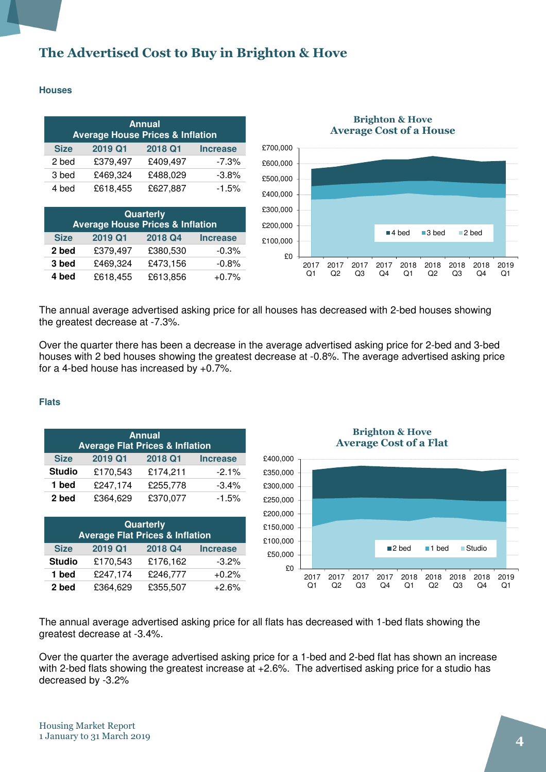### The Advertised Cost to Buy in Brighton & Hove

#### **Houses**

| <b>Annual</b><br><b>Average House Prices &amp; Inflation</b> |          |          |                 |  |  |
|--------------------------------------------------------------|----------|----------|-----------------|--|--|
| <b>Size</b>                                                  | 2019 Q1  | 2018 Q1  | <b>Increase</b> |  |  |
| 2 bed                                                        | £379,497 | £409,497 | $-7.3%$         |  |  |
| 3 bed                                                        | £469,324 | £488,029 | $-3.8%$         |  |  |
| 4 bed                                                        | £618,455 | £627,887 | $-1.5%$         |  |  |

| Quarterly<br><b>Average House Prices &amp; Inflation</b> |          |          |                 |  |  |
|----------------------------------------------------------|----------|----------|-----------------|--|--|
| <b>Size</b>                                              | 2019 Q1  | 2018 Q4  | <b>Increase</b> |  |  |
| 2 bed                                                    | £379,497 | £380,530 | $-0.3%$         |  |  |
| 3 bed                                                    | £469,324 | £473,156 | $-0.8%$         |  |  |
| 4 bed                                                    | £618,455 | £613,856 | $+0.7%$         |  |  |



# Brighton & Hove

The annual average advertised asking price for all houses has decreased with 2-bed houses showing the greatest decrease at -7.3%.

Over the quarter there has been a decrease in the average advertised asking price for 2-bed and 3-bed houses with 2 bed houses showing the greatest decrease at -0.8%. The average advertised asking price for a 4-bed house has increased by +0.7%.

#### **Flats**

| <b>Annual</b> |                                            |          |                 |  |  |  |
|---------------|--------------------------------------------|----------|-----------------|--|--|--|
|               | <b>Average Flat Prices &amp; Inflation</b> |          |                 |  |  |  |
| <b>Size</b>   | 2019 Q1                                    | 2018 Q1  | <b>Increase</b> |  |  |  |
| <b>Studio</b> | £170,543                                   | £174,211 | $-2.1%$         |  |  |  |
| 1 bed         | £247,174                                   | £255,778 | $-3.4%$         |  |  |  |
| 2 bed         | £364,629                                   | £370,077 | $-1.5%$         |  |  |  |

| Quarterly<br><b>Average Flat Prices &amp; Inflation</b> |          |          |                 |  |  |
|---------------------------------------------------------|----------|----------|-----------------|--|--|
| <b>Size</b>                                             | 2019 Q1  | 2018 Q4  | <b>Increase</b> |  |  |
| <b>Studio</b>                                           | £170,543 | £176,162 | $-3.2%$         |  |  |
| 1 bed                                                   | £247,174 | £246,777 | $+0.2%$         |  |  |
| 2 bed                                                   | £364,629 | £355,507 | $+2.6%$         |  |  |

Brighton & Hove Average Cost of a Flat



The annual average advertised asking price for all flats has decreased with 1-bed flats showing the greatest decrease at -3.4%.

Over the quarter the average advertised asking price for a 1-bed and 2-bed flat has shown an increase with 2-bed flats showing the greatest increase at  $+2.6$ %. The advertised asking price for a studio has decreased by -3.2%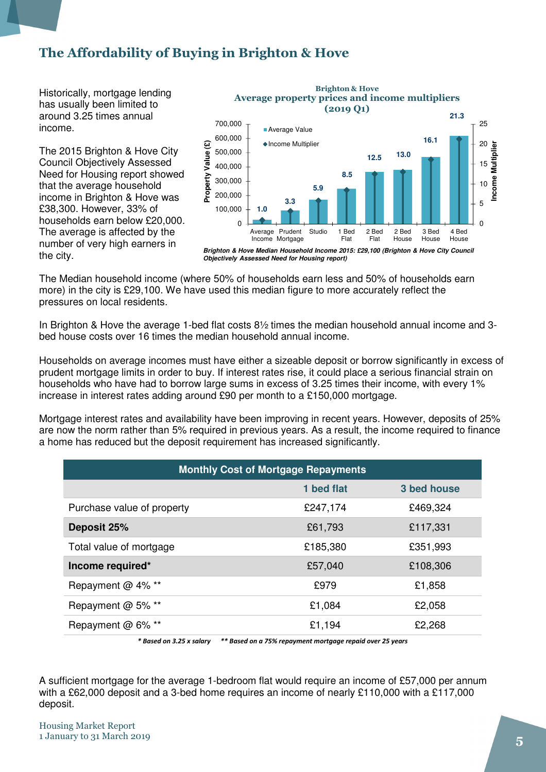### The Affordability of Buying in Brighton & Hove

Historically, mortgage lending has usually been limited to around 3.25 times annual income.

The 2015 Brighton & Hove City Council Objectively Assessed Need for Housing report showed that the average household income in Brighton & Hove was £38,300. However, 33% of households earn below £20,000. The average is affected by the number of very high earners in the city.



The Median household income (where 50% of households earn less and 50% of households earn more) in the city is £29,100. We have used this median figure to more accurately reflect the pressures on local residents.

In Brighton & Hove the average 1-bed flat costs 8½ times the median household annual income and 3 bed house costs over 16 times the median household annual income.

Households on average incomes must have either a sizeable deposit or borrow significantly in excess of prudent mortgage limits in order to buy. If interest rates rise, it could place a serious financial strain on households who have had to borrow large sums in excess of 3.25 times their income, with every 1% increase in interest rates adding around £90 per month to a £150,000 mortgage.

Mortgage interest rates and availability have been improving in recent years. However, deposits of 25% are now the norm rather than 5% required in previous years. As a result, the income required to finance a home has reduced but the deposit requirement has increased significantly.

| <b>Monthly Cost of Mortgage Repayments</b> |            |             |  |  |
|--------------------------------------------|------------|-------------|--|--|
|                                            | 1 bed flat | 3 bed house |  |  |
| Purchase value of property                 | £247,174   | £469,324    |  |  |
| Deposit 25%                                | £61,793    | £117,331    |  |  |
| Total value of mortgage                    | £185,380   | £351,993    |  |  |
| Income required*                           | £57,040    | £108,306    |  |  |
| Repayment @ 4% **                          | £979       | £1,858      |  |  |
| Repayment @ 5% **                          | £1,084     | £2,058      |  |  |
| Repayment @ 6% **                          | £1,194     | £2,268      |  |  |

\* Based on 3.25 x salary \*\* Based on a 75% repayment mortgage repaid over 25 years

A sufficient mortgage for the average 1-bedroom flat would require an income of £57,000 per annum with a £62,000 deposit and a 3-bed home requires an income of nearly £110,000 with a £117,000 deposit.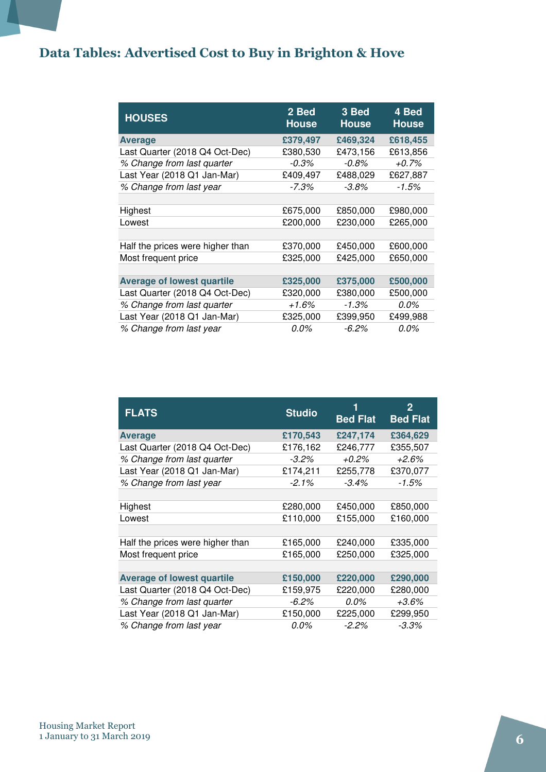## Data Tables: Advertised Cost to Buy in Brighton & Hove

| <b>HOUSES</b>                     | 2 Bed<br><b>House</b> | 3 Bed<br><b>House</b> | 4 Bed<br><b>House</b> |
|-----------------------------------|-----------------------|-----------------------|-----------------------|
| <b>Average</b>                    | £379,497              | £469,324              | £618,455              |
| Last Quarter (2018 Q4 Oct-Dec)    | £380,530              | £473,156              | £613,856              |
| % Change from last quarter        | $-0.3%$               | $-0.8\%$              | $+0.7%$               |
| Last Year (2018 Q1 Jan-Mar)       | £409,497              | £488,029              | £627,887              |
| % Change from last year           | $-7.3\%$              | $-3.8\%$              | $-1.5%$               |
|                                   |                       |                       |                       |
| Highest                           | £675,000              | £850,000              | £980,000              |
| Lowest                            | £200,000              | £230,000              | £265,000              |
|                                   |                       |                       |                       |
| Half the prices were higher than  | £370,000              | £450,000              | £600,000              |
| Most frequent price               | £325,000              | £425,000              | £650,000              |
|                                   |                       |                       |                       |
| <b>Average of lowest quartile</b> | £325,000              | £375,000              | £500,000              |
| Last Quarter (2018 Q4 Oct-Dec)    | £320,000              | £380,000              | £500,000              |
| % Change from last quarter        | $+1.6%$               | -1.3%                 | 0.0%                  |
| Last Year (2018 Q1 Jan-Mar)       | £325,000              | £399,950              | £499,988              |
| % Change from last year           | $0.0\%$               | $-6.2\%$              | 0.0%                  |

| <b>FLATS</b>                      | <b>Studio</b> | 1<br><b>Bed Flat</b> | 2<br><b>Bed Flat</b> |
|-----------------------------------|---------------|----------------------|----------------------|
| <b>Average</b>                    | £170,543      | £247,174             | £364,629             |
| Last Quarter (2018 Q4 Oct-Dec)    | £176,162      | £246,777             | £355,507             |
| % Change from last quarter        | $-3.2\%$      | +0.2%                | +2.6%                |
| Last Year (2018 Q1 Jan-Mar)       | £174,211      | £255,778             | £370,077             |
| % Change from last year           | $-2.1%$       | $-3.4\%$             | $-1.5%$              |
|                                   |               |                      |                      |
| Highest                           | £280,000      | £450,000             | £850,000             |
| Lowest                            | £110,000      | £155,000             | £160,000             |
|                                   |               |                      |                      |
| Half the prices were higher than  | £165,000      | £240,000             | £335,000             |
| Most frequent price               | £165,000      | £250,000             | £325,000             |
|                                   |               |                      |                      |
| <b>Average of lowest quartile</b> | £150,000      | £220,000             | £290,000             |
| Last Quarter (2018 Q4 Oct-Dec)    | £159,975      | £220,000             | £280,000             |
| % Change from last quarter        | $-6.2%$       | 0.0%                 | $+3.6\%$             |
| Last Year (2018 Q1 Jan-Mar)       | £150,000      | £225,000             | £299,950             |
| % Change from last year           | 0.0%          | $-2.2\%$             | $-3.3\%$             |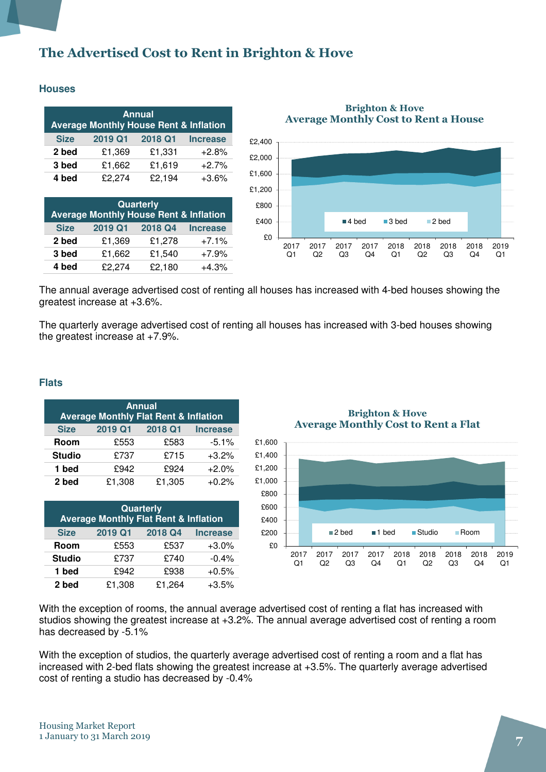### The Advertised Cost to Rent in Brighton & Hove

#### **Houses**

| <b>Annual</b><br><b>Average Monthly House Rent &amp; Inflation</b> |         |         |                 |  |  |  |
|--------------------------------------------------------------------|---------|---------|-----------------|--|--|--|
| <b>Size</b>                                                        | 2019 Q1 | 2018 Q1 | <b>Increase</b> |  |  |  |
| 2 bed                                                              | £1,369  | £1,331  | $+2.8%$         |  |  |  |
| 3 bed                                                              | £1,662  | £1,619  | $+2.7%$         |  |  |  |
| 4 bed                                                              | £2,274  | £2,194  | $+3.6%$         |  |  |  |

| Quarterly<br><b>Average Monthly House Rent &amp; Inflation</b> |         |         |                 |  |  |  |
|----------------------------------------------------------------|---------|---------|-----------------|--|--|--|
| <b>Size</b>                                                    | 2019 Q1 | 2018 Q4 | <b>Increase</b> |  |  |  |
| 2 bed                                                          | £1,369  | £1,278  | $+7.1%$         |  |  |  |
| 3 bed                                                          | £1,662  | £1,540  | $+7.9%$         |  |  |  |
| 4 bed                                                          | £2,274  | £2,180  | $+4.3%$         |  |  |  |

Brighton & Hove Average Monthly Cost to Rent a House



The annual average advertised cost of renting all houses has increased with 4-bed houses showing the greatest increase at +3.6%.

The quarterly average advertised cost of renting all houses has increased with 3-bed houses showing the greatest increase at +7.9%.

#### **Flats**

| <b>Annual</b><br><b>Average Monthly Flat Rent &amp; Inflation</b> |         |         |                 |  |  |  |
|-------------------------------------------------------------------|---------|---------|-----------------|--|--|--|
| <b>Size</b>                                                       | 2019 Q1 | 2018 Q1 | <b>Increase</b> |  |  |  |
| Room                                                              | £553    | £583    | $-5.1%$         |  |  |  |
| <b>Studio</b>                                                     | £737    | £715    | $+3.2%$         |  |  |  |
| 1 bed                                                             | £942    | £924    | $+2.0%$         |  |  |  |
| 2 bed                                                             | £1,308  | £1,305  | $+0.2%$         |  |  |  |

| <b>Quarterly</b><br><b>Average Monthly Flat Rent &amp; Inflation</b> |         |         |                 |  |  |  |
|----------------------------------------------------------------------|---------|---------|-----------------|--|--|--|
| <b>Size</b>                                                          | 2019 Q1 | 2018 Q4 | <b>Increase</b> |  |  |  |
| Room                                                                 | £553    | £537    | $+3.0\%$        |  |  |  |
| <b>Studio</b>                                                        | £737    | £740    | $-0.4%$         |  |  |  |
| 1 bed                                                                | £942    | £938    | $+0.5%$         |  |  |  |
| 2 bed                                                                | £1,308  | £1,264  | $+3.5%$         |  |  |  |

Brighton & Hove Average Monthly Cost to Rent a Flat



With the exception of rooms, the annual average advertised cost of renting a flat has increased with studios showing the greatest increase at +3.2%. The annual average advertised cost of renting a room has decreased by -5.1%

With the exception of studios, the quarterly average advertised cost of renting a room and a flat has increased with 2-bed flats showing the greatest increase at +3.5%. The quarterly average advertised cost of renting a studio has decreased by -0.4%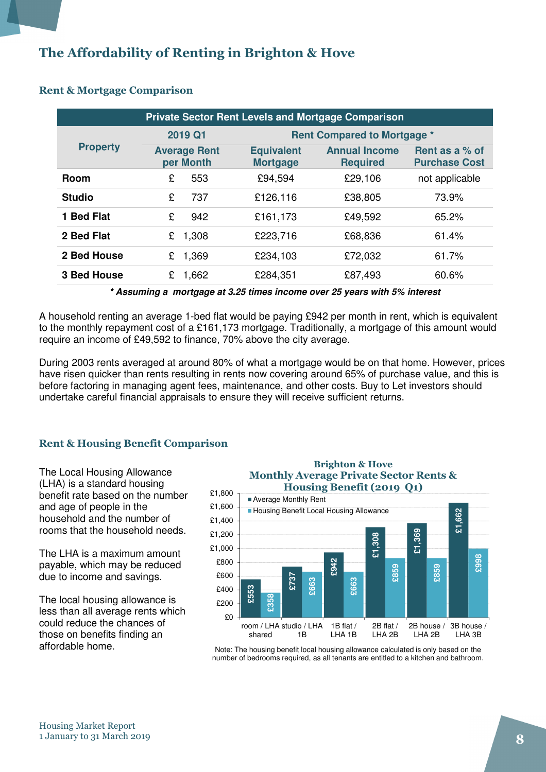### The Affordability of Renting in Brighton & Hove

| <b>Private Sector Rent Levels and Mortgage Comparison</b> |   |                                  |  |                                      |  |                                         |                                        |
|-----------------------------------------------------------|---|----------------------------------|--|--------------------------------------|--|-----------------------------------------|----------------------------------------|
|                                                           |   | 2019 Q1                          |  |                                      |  | <b>Rent Compared to Mortgage *</b>      |                                        |
| <b>Property</b>                                           |   | <b>Average Rent</b><br>per Month |  | <b>Equivalent</b><br><b>Mortgage</b> |  | <b>Annual Income</b><br><b>Required</b> | Rent as a % of<br><b>Purchase Cost</b> |
| <b>Room</b>                                               | £ | 553                              |  | £94,594                              |  | £29,106                                 | not applicable                         |
| <b>Studio</b>                                             | £ | 737                              |  | £126,116                             |  | £38,805                                 | 73.9%                                  |
| 1 Bed Flat                                                | £ | 942                              |  | £161,173                             |  | £49,592                                 | 65.2%                                  |
| 2 Bed Flat                                                | £ | 1,308                            |  | £223,716                             |  | £68,836                                 | 61.4%                                  |
| 2 Bed House                                               | £ | 1,369                            |  | £234,103                             |  | £72,032                                 | 61.7%                                  |
| <b>3 Bed House</b>                                        | £ | 1,662                            |  | £284,351                             |  | £87,493                                 | 60.6%                                  |

### Rent & Mortgage Comparison

**\* Assuming a mortgage at 3.25 times income over 25 years with 5% interest** 

A household renting an average 1-bed flat would be paying £942 per month in rent, which is equivalent to the monthly repayment cost of a £161,173 mortgage. Traditionally, a mortgage of this amount would require an income of £49,592 to finance, 70% above the city average.

During 2003 rents averaged at around 80% of what a mortgage would be on that home. However, prices have risen quicker than rents resulting in rents now covering around 65% of purchase value, and this is before factoring in managing agent fees, maintenance, and other costs. Buy to Let investors should undertake careful financial appraisals to ensure they will receive sufficient returns.

### Rent & Housing Benefit Comparison

The Local Housing Allowance (LHA) is a standard housing benefit rate based on the number and age of people in the household and the number of rooms that the household needs.

The LHA is a maximum amount payable, which may be reduced due to income and savings.

The local housing allowance is less than all average rents which could reduce the chances of those on benefits finding an affordable home.

#### Brighton & Hove Monthly Average Private Sector Rents & Housing Benefit (2019 Q1)



Note: The housing benefit local housing allowance calculated is only based on the number of bedrooms required, as all tenants are entitled to a kitchen and bathroom.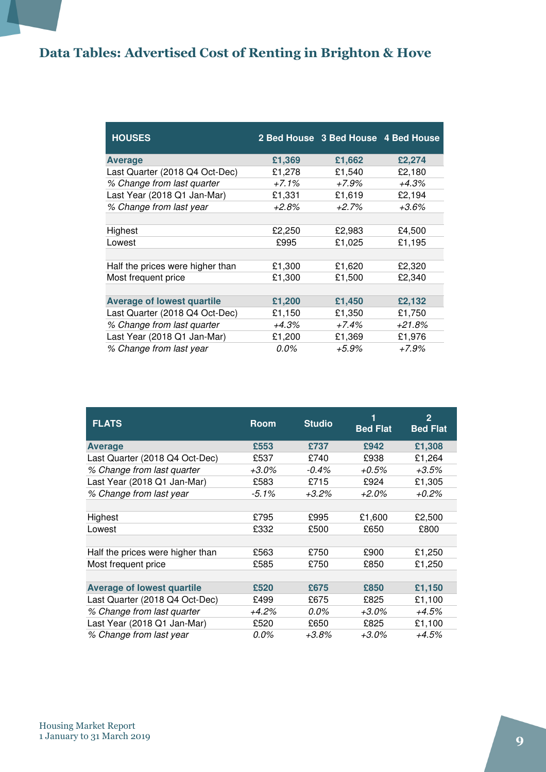## Data Tables: Advertised Cost of Renting in Brighton & Hove

| <b>HOUSES</b>                     |          | 2 Bed House 3 Bed House 4 Bed House |          |
|-----------------------------------|----------|-------------------------------------|----------|
| Average                           | £1,369   | £1,662                              | £2,274   |
| Last Quarter (2018 Q4 Oct-Dec)    | £1,278   | £1,540                              | £2,180   |
| % Change from last quarter        | $+7.1\%$ | +7.9%                               | +4.3%    |
| Last Year (2018 Q1 Jan-Mar)       | £1,331   | £1,619                              | £2,194   |
| % Change from last year           | +2.8%    | $+2.7%$                             | +3.6%    |
|                                   |          |                                     |          |
| Highest                           | £2,250   | £2,983                              | £4,500   |
| Lowest                            | £995     | £1,025                              | £1,195   |
|                                   |          |                                     |          |
| Half the prices were higher than  | £1,300   | £1,620                              | £2,320   |
| Most frequent price               | £1,300   | £1,500                              | £2,340   |
|                                   |          |                                     |          |
| <b>Average of lowest quartile</b> | £1,200   | £1,450                              | £2,132   |
| Last Quarter (2018 Q4 Oct-Dec)    | £1,150   | £1,350                              | £1,750   |
| % Change from last quarter        | $+4.3%$  | +7.4%                               | $+21.8%$ |
| Last Year (2018 Q1 Jan-Mar)       | £1,200   | £1,369                              | £1,976   |
| % Change from last year           | $0.0\%$  | +5.9%                               | +7.9%    |

| <b>FLATS</b>                      | <b>Room</b> | <b>Studio</b> | <b>Bed Flat</b> | $\overline{2}$<br><b>Bed Flat</b> |
|-----------------------------------|-------------|---------------|-----------------|-----------------------------------|
| <b>Average</b>                    | £553        | £737          | £942            | £1,308                            |
| Last Quarter (2018 Q4 Oct-Dec)    | £537        | £740          | £938            | £1,264                            |
| % Change from last quarter        | +3.0%       | $-0.4\%$      | $+0.5%$         | +3.5%                             |
| Last Year (2018 Q1 Jan-Mar)       | £583        | £715          | £924            | £1,305                            |
| % Change from last year           | $-5.1\%$    | $+3.2\%$      | $+2.0\%$        | +0.2%                             |
|                                   |             |               |                 |                                   |
| Highest                           | £795        | £995          | £1,600          | £2,500                            |
| Lowest                            | £332        | £500          | £650            | £800                              |
|                                   |             |               |                 |                                   |
| Half the prices were higher than  | £563        | £750          | £900            | £1,250                            |
| Most frequent price               | £585        | £750          | £850            | £1,250                            |
|                                   |             |               |                 |                                   |
| <b>Average of lowest quartile</b> | £520        | £675          | £850            | £1,150                            |
| Last Quarter (2018 Q4 Oct-Dec)    | £499        | £675          | £825            | £1,100                            |
| % Change from last quarter        | +4.2%       | $0.0\%$       | +3.0%           | +4.5%                             |
| Last Year (2018 Q1 Jan-Mar)       | £520        | £650          | £825            | £1,100                            |
| % Change from last year           | 0.0%        | $+3.8\%$      | $+3.0\%$        | +4.5%                             |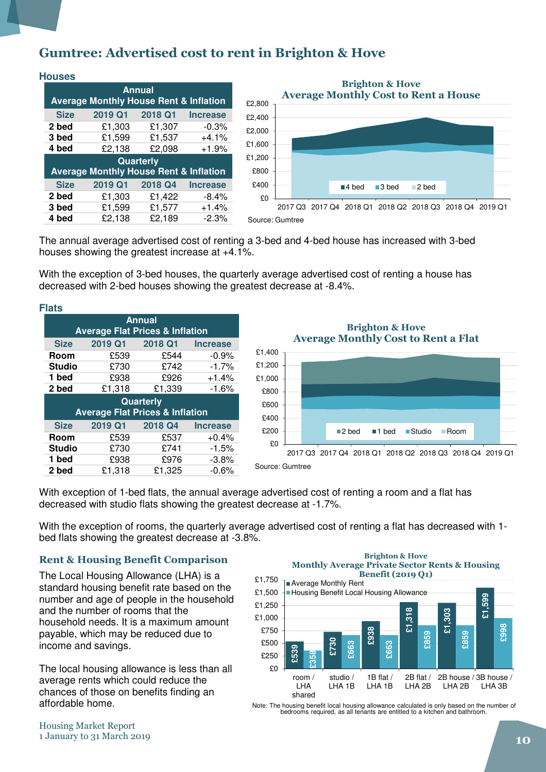### Gumtree: Advertised cost to rent in Brighton & Hove

| <b>Houses</b>                                                      |                                                   |           |                 |  |  |  |  |
|--------------------------------------------------------------------|---------------------------------------------------|-----------|-----------------|--|--|--|--|
| <b>Annual</b><br><b>Average Monthly House Rent &amp; Inflation</b> |                                                   |           |                 |  |  |  |  |
|                                                                    |                                                   |           |                 |  |  |  |  |
| <b>Size</b>                                                        | 2019 Q1                                           | 2018 Q1   | <b>Increase</b> |  |  |  |  |
| 2 bed                                                              | £1,303                                            | £1,307    | $-0.3%$         |  |  |  |  |
| 3 bed                                                              | £1,599                                            | £1,537    | $+4.1%$         |  |  |  |  |
| 4 bed                                                              | £2,138                                            | £2,098    | $+1.9%$         |  |  |  |  |
|                                                                    |                                                   | Quarterly |                 |  |  |  |  |
|                                                                    | <b>Average Monthly House Rent &amp; Inflation</b> |           |                 |  |  |  |  |
| <b>Size</b>                                                        | 2019 Q1                                           | 2018 Q4   | <b>Increase</b> |  |  |  |  |
| 2 bed                                                              | £1,303                                            | £1,422    | $-8.4%$         |  |  |  |  |
| 3 bed                                                              | £1,599                                            | £1,577    | $+1.4%$         |  |  |  |  |
| 4 bed                                                              | £2.138                                            | £2,189    | $-2.3%$         |  |  |  |  |



The annual average advertised cost of renting a 3-bed and 4-bed house has increased with 3-bed houses showing the greatest increase at +4.1%.

With the exception of 3-bed houses, the quarterly average advertised cost of renting a house has decreased with 2-bed houses showing the greatest decrease at -8.4%.

| <b>Flats</b>                                                |                                                                |         |                 |  |  |  |  |
|-------------------------------------------------------------|----------------------------------------------------------------|---------|-----------------|--|--|--|--|
| <b>Annual</b><br><b>Average Flat Prices &amp; Inflation</b> |                                                                |         |                 |  |  |  |  |
| <b>Size</b>                                                 | 2019 Q1                                                        | 2018 Q1 | <b>Increase</b> |  |  |  |  |
| Room                                                        | £539                                                           | £544    | $-0.9%$         |  |  |  |  |
| <b>Studio</b>                                               | £730                                                           | £742    | $-1.7%$         |  |  |  |  |
| 1 bed                                                       | £938                                                           | £926    | $+1.4%$         |  |  |  |  |
| 2 bed                                                       | £1,318                                                         | £1,339  | $-1.6%$         |  |  |  |  |
|                                                             | <b>Quarterly</b><br><b>Average Flat Prices &amp; Inflation</b> |         |                 |  |  |  |  |
| <b>Size</b>                                                 | 2019 Q1                                                        | 2018 Q4 | <b>Increase</b> |  |  |  |  |
| Room                                                        | £539                                                           | £537    | $+0.4%$         |  |  |  |  |
| <b>Studio</b>                                               | £730                                                           | £741    | $-1.5%$         |  |  |  |  |
| 1 bed                                                       | £938                                                           | £976    | $-3.8%$         |  |  |  |  |
|                                                             |                                                                |         |                 |  |  |  |  |



With exception of 1-bed flats, the annual average advertised cost of renting a room and a flat has decreased with studio flats showing the greatest decrease at -1.7%.

With the exception of rooms, the quarterly average advertised cost of renting a flat has decreased with 1 bed flats showing the greatest decrease at -3.8%.

### Rent & Housing Benefit Comparison

The Local Housing Allowance (LHA) is a standard housing benefit rate based on the number and age of people in the household and the number of rooms that the household needs. It is a maximum amount payable, which may be reduced due to income and savings.

The local housing allowance is less than all average rents which could reduce the chances of those on benefits finding an affordable home.

#### Brighton & Hove Monthly Average Private Sector Rents & Housing Benefit (2019 Q1)



Note: The housing benefit local housing allowance calculated is only based on the number of bedrooms required, as all tenants are entitled to a kitchen and bathroom.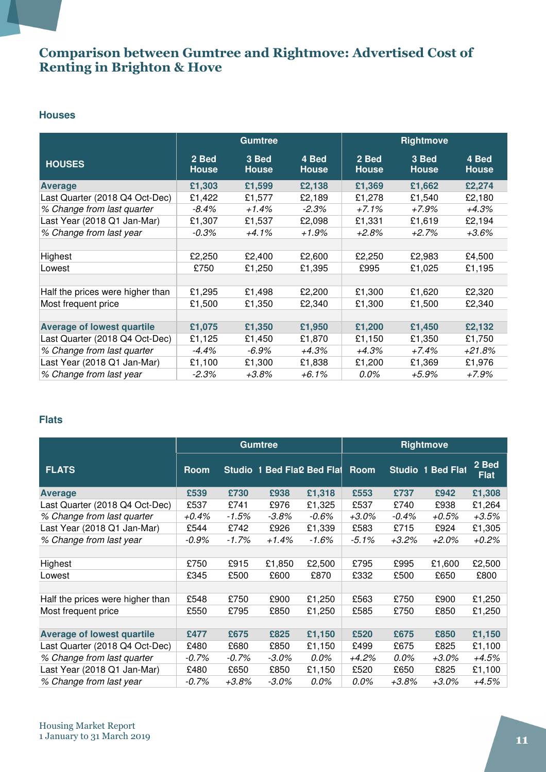### Comparison between Gumtree and Rightmove: Advertised Cost of Renting in Brighton & Hove

#### **Houses**

|                                   | <b>Gumtree</b>        |                       |                       | Rightmove             |                       |                       |
|-----------------------------------|-----------------------|-----------------------|-----------------------|-----------------------|-----------------------|-----------------------|
| <b>HOUSES</b>                     | 2 Bed<br><b>House</b> | 3 Bed<br><b>House</b> | 4 Bed<br><b>House</b> | 2 Bed<br><b>House</b> | 3 Bed<br><b>House</b> | 4 Bed<br><b>House</b> |
| <b>Average</b>                    | £1,303                | £1,599                | £2,138                | £1,369                | £1,662                | £2,274                |
| Last Quarter (2018 Q4 Oct-Dec)    | £1,422                | £1,577                | £2,189                | £1,278                | £1,540                | £2,180                |
| % Change from last quarter        | $-8.4%$               | +1.4%                 | $-2.3%$               | $+7.1%$               | $+7.9%$               | $+4.3%$               |
| Last Year (2018 Q1 Jan-Mar)       | £1,307                | £1,537                | £2,098                | £1,331                | £1,619                | £2,194                |
| % Change from last year           | $-0.3\%$              | $+4.1\%$              | +1.9%                 | +2.8%                 | $+2.7%$               | $+3.6\%$              |
|                                   |                       |                       |                       |                       |                       |                       |
| Highest                           | £2,250                | £2,400                | £2,600                | £2,250                | £2,983                | £4,500                |
| Lowest                            | £750                  | £1,250                | £1,395                | £995                  | £1,025                | £1,195                |
|                                   |                       |                       |                       |                       |                       |                       |
| Half the prices were higher than  | £1,295                | £1,498                | £2,200                | £1,300                | £1,620                | £2,320                |
| Most frequent price               | £1,500                | £1,350                | £2,340                | £1,300                | £1,500                | £2,340                |
|                                   |                       |                       |                       |                       |                       |                       |
| <b>Average of lowest quartile</b> | £1,075                | £1,350                | £1,950                | £1,200                | £1,450                | £2,132                |
| Last Quarter (2018 Q4 Oct-Dec)    | £1,125                | £1,450                | £1,870                | £1,150                | £1,350                | £1,750                |
| % Change from last quarter        | $-4.4\%$              | -6.9%                 | +4.3%                 | +4.3%                 | +7.4%                 | +21.8%                |
| Last Year (2018 Q1 Jan-Mar)       | £1,100                | £1,300                | £1,838                | £1,200                | £1,369                | £1,976                |
| % Change from last year           | $-2.3\%$              | +3.8%                 | +6.1%                 | 0.0%                  | +5.9%                 | +7.9%                 |

### **Flats**

|                                   | <b>Gumtree</b> |          |                            | <b>Rightmove</b> |             |          |                          |                      |
|-----------------------------------|----------------|----------|----------------------------|------------------|-------------|----------|--------------------------|----------------------|
| <b>FLATS</b>                      | <b>Room</b>    |          | Studio 1 Bed Fla2 Bed Flat |                  | <b>Room</b> |          | <b>Studio 1 Bed Flat</b> | 2 Bed<br><b>Flat</b> |
| <b>Average</b>                    | £539           | £730     | £938                       | £1,318           | £553        | £737     | £942                     | £1,308               |
| Last Quarter (2018 Q4 Oct-Dec)    | £537           | £741     | £976                       | £1,325           | £537        | £740     | £938                     | £1,264               |
| % Change from last quarter        | $+0.4\%$       | -1.5%    | $-3.8\%$                   | $-0.6\%$         | $+3.0\%$    | $-0.4\%$ | $+0.5%$                  | $+3.5%$              |
| Last Year (2018 Q1 Jan-Mar)       | £544           | £742     | £926                       | £1,339           | £583        | £715     | £924                     | £1,305               |
| % Change from last year           | -0.9%          | -1.7%    | $+1.4%$                    | $-1.6\%$         | -5.1%       | $+3.2%$  | +2.0%                    | $+0.2%$              |
|                                   |                |          |                            |                  |             |          |                          |                      |
| Highest                           | £750           | £915     | £1,850                     | £2,500           | £795        | £995     | £1,600                   | £2,500               |
| Lowest                            | £345           | £500     | £600                       | £870             | £332        | £500     | £650                     | £800                 |
|                                   |                |          |                            |                  |             |          |                          |                      |
| Half the prices were higher than  | £548           | £750     | £900                       | £1,250           | £563        | £750     | £900                     | £1,250               |
| Most frequent price               | £550           | £795     | £850                       | £1,250           | £585        | £750     | £850                     | £1,250               |
|                                   |                |          |                            |                  |             |          |                          |                      |
| <b>Average of lowest quartile</b> | £477           | £675     | £825                       | £1,150           | £520        | £675     | £850                     | £1,150               |
| Last Quarter (2018 Q4 Oct-Dec)    | £480           | £680     | £850                       | £1,150           | £499        | £675     | £825                     | £1,100               |
| % Change from last quarter        | $-0.7\%$       | -0.7%    | $-3.0\%$                   | 0.0%             | $+4.2%$     | $0.0\%$  | $+3.0\%$                 | +4.5%                |
| Last Year (2018 Q1 Jan-Mar)       | £480           | £650     | £850                       | £1,150           | £520        | £650     | £825                     | £1,100               |
| % Change from last year           | -0.7%          | $+3.8\%$ | $-3.0\%$                   | 0.0%             | 0.0%        | +3.8%    | $+3.0\%$                 | $+4.5%$              |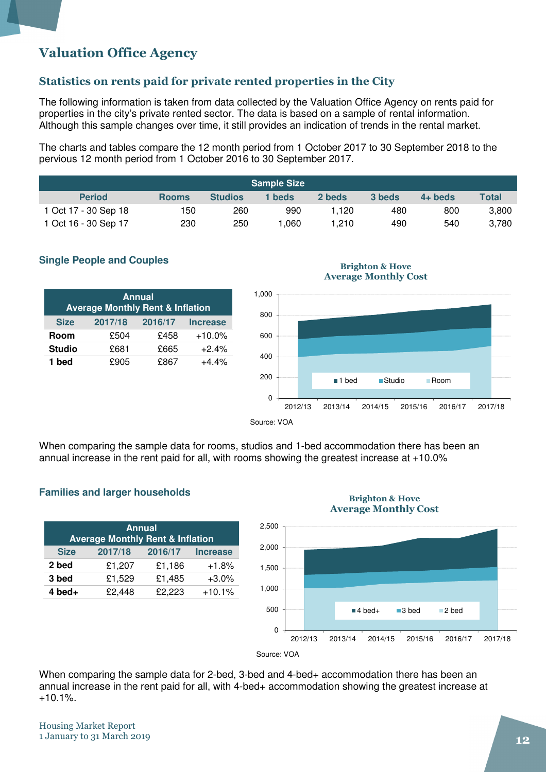### Valuation Office Agency

### Statistics on rents paid for private rented properties in the City

The following information is taken from data collected by the Valuation Office Agency on rents paid for properties in the city's private rented sector. The data is based on a sample of rental information. Although this sample changes over time, it still provides an indication of trends in the rental market.

The charts and tables compare the 12 month period from 1 October 2017 to 30 September 2018 to the pervious 12 month period from 1 October 2016 to 30 September 2017.

|                      |              |                | <b>Sample Size</b> |        |        |           |              |
|----------------------|--------------|----------------|--------------------|--------|--------|-----------|--------------|
| <b>Period</b>        | <b>Rooms</b> | <b>Studios</b> | 1 beds             | 2 beds | 3 beds | $4+$ beds | <b>Total</b> |
| 1 Oct 17 - 30 Sep 18 | 150          | 260            | 990                | 1.120  | 480    | 800       | 3,800        |
| 1 Oct 16 - 30 Sep 17 | 230          | 250            | .060               | .210   | 490    | 540       | 3.780        |

### **Single People and Couples**

| <b>Annual</b><br><b>Average Monthly Rent &amp; Inflation</b> |         |         |                 |  |  |
|--------------------------------------------------------------|---------|---------|-----------------|--|--|
| <b>Size</b>                                                  | 2017/18 | 2016/17 | <b>Increase</b> |  |  |
| Room                                                         | £504    | £458    | $+10.0%$        |  |  |
| <b>Studio</b>                                                | £681    | £665    | $+2.4%$         |  |  |
| 1 bed                                                        | £905    | £867    | $+4.4%$         |  |  |



Brighton & Hove

When comparing the sample data for rooms, studios and 1-bed accommodation there has been an annual increase in the rent paid for all, with rooms showing the greatest increase at +10.0%

#### **Families and larger households**

| <b>Annual</b><br><b>Average Monthly Rent &amp; Inflation</b> |         |         |                 |  |  |  |  |  |
|--------------------------------------------------------------|---------|---------|-----------------|--|--|--|--|--|
| <b>Size</b>                                                  | 2017/18 | 2016/17 | <b>Increase</b> |  |  |  |  |  |
| 2 bed                                                        | £1,207  | £1,186  | $+1.8%$         |  |  |  |  |  |
| 3 bed                                                        | £1,529  | £1,485  | $+3.0%$         |  |  |  |  |  |
| $4$ bed +                                                    | £2,448  | £2,223  | $+10.1%$        |  |  |  |  |  |

#### Brighton & Hove Average Monthly Cost



Source: VOA

When comparing the sample data for 2-bed, 3-bed and 4-bed+ accommodation there has been an annual increase in the rent paid for all, with 4-bed+ accommodation showing the greatest increase at  $+10.1%$ .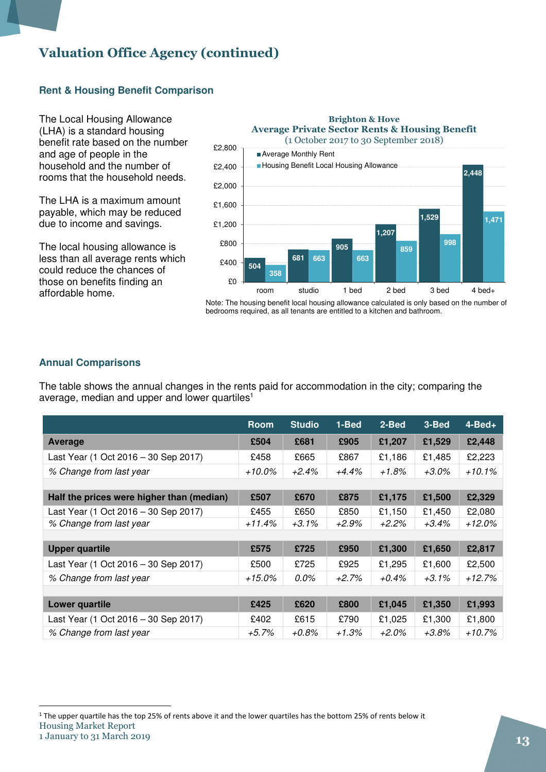### Valuation Office Agency (continued)

### **Rent & Housing Benefit Comparison**

The Local Housing Allowance (LHA) is a standard housing benefit rate based on the number and age of people in the household and the number of rooms that the household needs.

The LHA is a maximum amount payable, which may be reduced due to income and savings.

The local housing allowance is less than all average rents which could reduce the chances of those on benefits finding an affordable home.



Note: The housing benefit local housing allowance calculated is only based on the number of bedrooms required, as all tenants are entitled to a kitchen and bathroom.

### **Annual Comparisons**

The table shows the annual changes in the rents paid for accommodation in the city; comparing the average, median and upper and lower quartiles<sup>1</sup>

|                                           | <b>Room</b> | <b>Studio</b> | 1-Bed   | 2-Bed    | 3-Bed    | $4 - Bed +$ |
|-------------------------------------------|-------------|---------------|---------|----------|----------|-------------|
| Average                                   | £504        | £681          | £905    | £1,207   | £1,529   | £2,448      |
| Last Year (1 Oct 2016 - 30 Sep 2017)      | £458        | £665          | £867    | £1,186   | £1,485   | £2,223      |
| % Change from last year                   | $+10.0\%$   | $+2.4%$       | $+4.4%$ | $+1.8%$  | +3.0%    | $+10.1%$    |
|                                           |             |               |         |          |          |             |
| Half the prices were higher than (median) | £507        | £670          | £875    | £1,175   | £1,500   | £2,329      |
| Last Year (1 Oct 2016 – 30 Sep 2017)      | £455        | £650          | £850    | £1,150   | £1,450   | £2,080      |
| % Change from last year                   | $+11.4%$    | $+3.1\%$      | $+2.9%$ | $+2.2%$  | $+3.4\%$ | +12.0%      |
|                                           |             |               |         |          |          |             |
| <b>Upper quartile</b>                     | £575        | £725          | £950    | £1,300   | £1,650   | £2,817      |
| Last Year (1 Oct 2016 - 30 Sep 2017)      | £500        | £725          | £925    | £1,295   | £1,600   | £2,500      |
| % Change from last year                   | $+15.0\%$   | 0.0%          | $+2.7%$ | $+0.4\%$ | $+3.1\%$ | $+12.7%$    |
|                                           |             |               |         |          |          |             |
| Lower quartile                            | £425        | £620          | £800    | £1,045   | £1,350   | £1,993      |
| Last Year (1 Oct 2016 - 30 Sep 2017)      | £402        | £615          | £790    | £1,025   | £1,300   | £1,800      |
| % Change from last year                   | $+5.7\%$    | +0.8%         | +1.3%   | +2.0%    | +3.8%    | +10.7%      |

Housing Market Report <sup>1</sup> The upper quartile has the top 25% of rents above it and the lower quartiles has the bottom 25% of rents below it

l